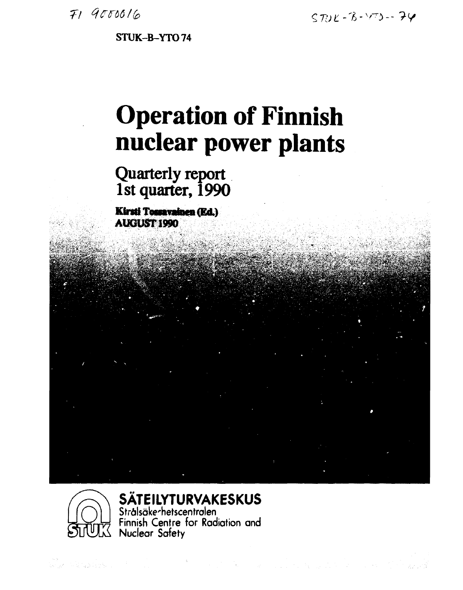**STUK-B-YT074** 

# **Operation of Finnish nuclear power plants**

*•4ZV\** \* S^Wfe\* ii3-'-"\_.: 4.\*.-i *.'* **JÄ-\*; «?«•\*..' ' -,4ft** 

# **Quarterly report 1st quarter, 1990**

**Kirsti Tossavainen (Ed.) AUGUST 1990** 



# **SÄTEILYTURVAKESKUS**

**Strälsöke-hetscentrolen Finnish Centre for Radiation and Nuclear Safety**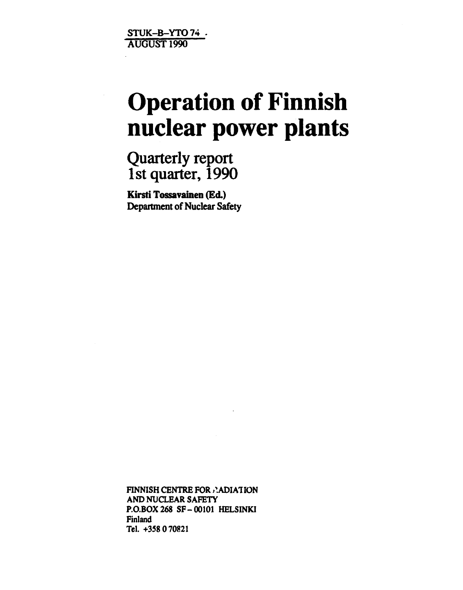**STUK-B-YTO74 . AUGUST 1990** 

# **Operation of Finnish nuclear power plants**

**Quarterly report 1st quarter, 1990** 

**Kirsti Tossavainen (Ed.) Department of Nuclear Safety** 

**FINNISH CENTRE FOR ANDIATION AND NUCLEAR SAFETY P.O.BOX268 SF-00101 HELSINKI Finland Tel. +358 070821**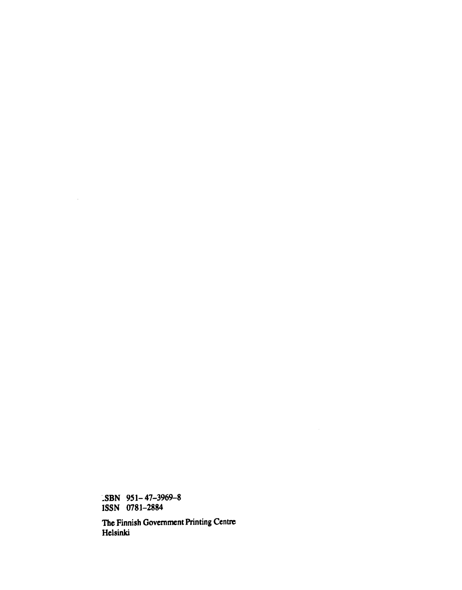**-SBN 951-47-3969-8 ISSN 0781-2884** 

 $\mathcal{L}^{\text{max}}_{\text{max}}$ 

**The Finnish Government Printing Centre Helsinki**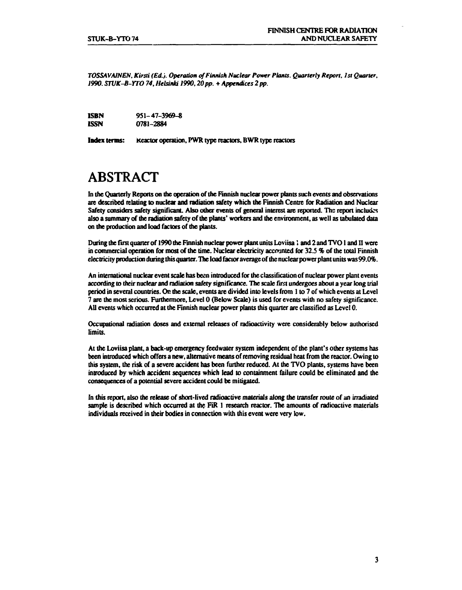*TOSSAVAINEN. Kirsti (Ed.). Operation of Finnish Nuclear Power Plants. Quarterly Report, 1st Quarter, 1990. STVK-B-YTO 74, Helsinki 1990,20 pp. + Appendices 2 pp.* 

| ISBN        | $951 - 47 - 3969 - 8$ |
|-------------|-----------------------|
| <b>ISSN</b> | 0781-2884             |

**Index** terms: Reactor operation, PWR type reactors, BWR type reactors

# **ABSTRACT**

In the Quarterly Reports on the operation of the Finnish nuclear power plants such events and observations are described relating to nuclear and radiation safety which the Finnish Centre for Radiation and Nuclear Safety considers safety significant. Also other events of general interest are reported. The report includes also a summary of the radiation safety of the plants' workers and the environment, as well as tabulated data on the production and load factors of the plants.

During the first quarter of 1990 the Finnish nuclear power plant units Loviisa 1 and 2 and TVO I and II were in commercial operation for most of the time. Nuclear electricity accounted for 32.S % of the total Finnish electricity production during this quarter. The load factor average of the nuclear power plant units was 99.0%.

An international nuclear event scale has been introduced for the classification of nuclear power plant events according to their nuclear and radiation safety significance. The scale first undergoes about a year long trial period in several countries. On the scale, events are divided into levels from 1 to 7 of which events at Level 7 are the most serious. Furthermore, Level 0 (Below Scale) is used for events with no safety significance. All events which occurred at the Finnish nuclear power plants this quarter are classified as Level 0.

Occupational radiation doses and external releases of radioactivity were considerably below authorised limits.

At the Loviisa plant, a back-up emergency feedwater system independent of the plant's other systems has been introduced which offers a new, alternative means of removing residual heat from the reactor. Owing to this system, the risk of a severe accident has been further reduced. At the TVO plants, systems have been introduced by which accident sequences which lead to containment failure could be eliminated and the consequences of a potential severe accident could be mitigated.

In this report, also the release of short-lived radioactive materials along the transfer route of an irradiated sample is described which occurred at the FiR 1 research reactor. The amounts of radioactive materials individuals received in their bodies in connection with this event were very low.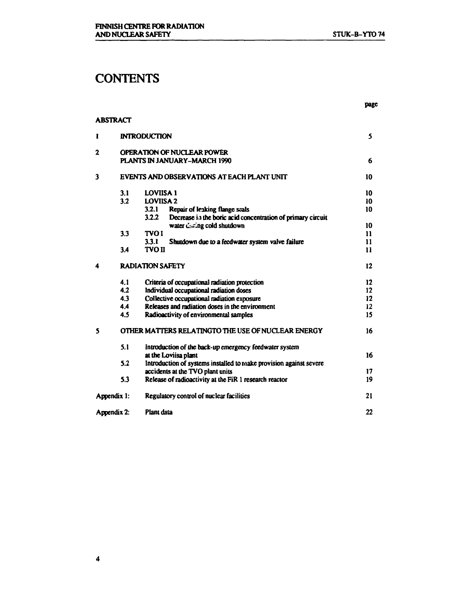# **CONTENTS**

#### **ABSTRACT**

| 1 |             | <b>INTRODUCTION</b>                                                  | 5             |
|---|-------------|----------------------------------------------------------------------|---------------|
| 2 |             | <b>OPERATION OF NUCLEAR POWER</b>                                    |               |
|   |             | PLANTS IN JANUARY-MARCH 1990                                         | 6             |
| 3 |             | EVENTS AND OBSERVATIONS AT EACH PLANT UNIT                           | 10            |
|   | 3.1         | <b>LOVIISA 1</b>                                                     | 10            |
|   | 3.2         | <b>LOVIISA 2</b>                                                     | 10            |
|   |             | 3.2.1<br>Repair of leaking flange seals                              | 10            |
|   |             | 3.2.2<br>Decrease in the boric acid concentration of primary circuit |               |
|   |             | water during cold shutdown                                           | 10            |
|   | 3.3         | <b>TVOI</b>                                                          | $\mathbf{11}$ |
|   |             | 3.3.1<br>Shutdown due to a feedwater system valve failure            | 11            |
|   | 3.4         | <b>TVO II</b>                                                        | $\mathbf{11}$ |
| 4 |             | <b>RADIATION SAFETY</b>                                              | $12 \,$       |
|   | 4.1         | Criteria of occupational radiation protection                        | 12            |
|   | 4.2         | Individual occupational radiation doses                              | 12            |
|   | 4.3         | Collective occupational radiation exposure                           | 12            |
|   | 4.4         | Releases and radiation doses in the environment                      | 12            |
|   | 4.5         | Radioactivity of environmental samples                               | 15            |
| 5 |             | OTHER MATTERS RELATINGTO THE USE OF NUCLEAR ENERGY                   | 16            |
|   | 5.1         | Introduction of the back-up emergency feedwater system               |               |
|   |             | at the Loviisa plant                                                 | 16            |
|   | 5.2         | Introduction of systems installed to make provision against severe   |               |
|   |             | accidents at the TVO plant units                                     | 17            |
|   | 5.3         | Release of radioactivity at the FiR 1 research reactor               | 19            |
|   | Appendix 1: | Regulatory control of nuclear facilities                             | 21            |
|   | Appendix 2: | Plant data                                                           | 22            |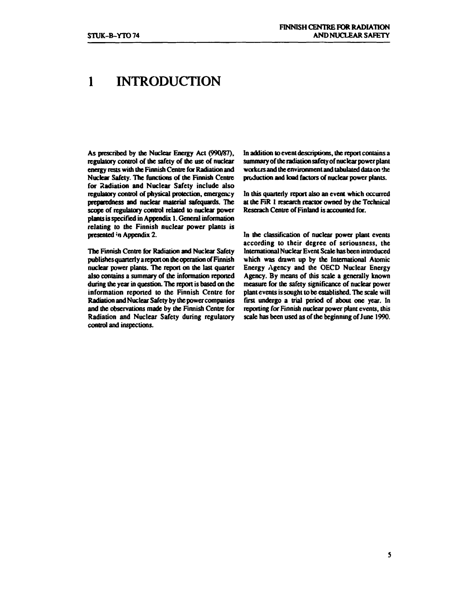# **1 INTRODUCTION**

**As prescribed by the Nuclear Energy Act (990/87), regulatory control of the safety of the use of nuclear energy rests with the Finnish Centre for Radiation and Nuclear Safety. The functions of the Finnish Centre for Radiation and Nuclear Safety include also regulatory control of physical protection, emergency preparedness and nuclear material safequards. The scope of regulatory control related to nuclear power plants is specified in Appendix 1. General information relating to the Finnish nuclear power plants** *is*  **presented \*n Appendix 2.** 

**The Finnish Centre for Radiation and Nuclear Safety publishes quarterly a report on the operation of Finnish nuclear power plants. The report on the last quarter also contains a summary of the information reported during the year in question. The report is based on the information reported to the Finnish Centre for Radiation and Nuclear Safety by the power companies and the observations made by the Finnish Centre for Radiation and Nuclear Safety during regulatory control and inspections.** 

**In addition to event descriptions, the report contains a summary of the radiation safety of nuclear power plant workers and the environment and tabulated data on the production and load factors of nuclear power plants.** 

**In this quarterly report also an event which occurred attheFiR 1 research reactor owned by die Technical Reserach Centre of Finland is accounted for.** 

**In the classification of nuclear power plant events according to their degree of seriousness, the International Nuclear Event Scale has been introduced which was drawn up by the International Atomic Energy Agency and the OECD Nuclear Energy Agency. By means of this scale a generally known measure for the safety significance of nuclear power plant events is sought to be established. The scale will fust undergo a trial period of about one year. In reporting for Finnish nuclear power plant events, this scale has been used as of the beginning of June 1990.**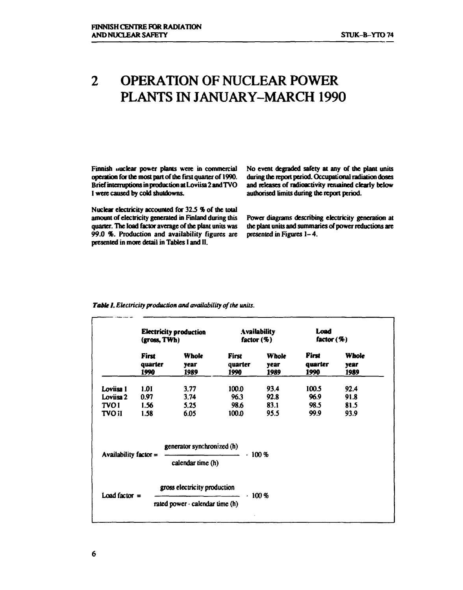# **2 OPERATION OF NUCLEAR POWER PLANTS IN JANUARY-MARCH 1990**

**Finnish nuclear power plants were in commercial operation for the most part of the first quarter of 1990. Brief interruptions in production at Loviisa 2 and TVO I were caused by cold shutdowns.** 

**Nuclear electricity accounted for 32.5 % of the total amount of electricity generated in Finland during this quarter. The load factor average of the plant units was 99.0** *%.* **Production and availability figures are presented in more detail in Tables I and II.** 

**No event degraded safety at any of the plant units during the report period. Occupational radiation doses and releases of radioactivity remained clearly below authorised limits during the report period.** 

**Power diagrams describing electricity generation at the plant units and summaries of power reductions are presented in Figures 1- 4.** 

|                         | <b>Electricity production</b><br>(gross, TWh) |                                                 | Availability.<br>factor $(\%)$  |                              | Load<br>factor $(\%)$           |                              |
|-------------------------|-----------------------------------------------|-------------------------------------------------|---------------------------------|------------------------------|---------------------------------|------------------------------|
|                         | <b>First</b><br>quarter<br>1990               | Whole<br><b>Vear</b><br>1989                    | <b>First</b><br>quarter<br>1990 | <b>Whole</b><br>vear<br>1989 | <b>First</b><br>quarter<br>1990 | <b>Whole</b><br>year<br>1989 |
| Loviisa 1               | 1.01                                          | 3.77                                            | 100.0                           | 93.4                         | 100.5                           | 92.4                         |
| Loviisa 2               | 0.97                                          | 3.74                                            | 96.3                            | 92.8                         | 96.9                            | 91.8                         |
| <b>TVOI</b>             | 1.56                                          | 5.25                                            | 98.6                            | 83.1                         | 98.5                            | 81.5                         |
| <b>TVO II</b>           | 1.58                                          | 6.05                                            | 100.0                           | 95.5                         | 99.9                            | 93.9                         |
| Availability factor $=$ |                                               | generator synchronized (h)<br>calendar time (h) | .100%                           |                              |                                 |                              |
| Load factor $=$         |                                               | gross electricity production                    |                                 | .100%                        |                                 |                              |
|                         |                                               | rated power $\cdot$ calendar time (h)           |                                 |                              |                                 |                              |

#### *Table I. Electricity production and availability of the units.*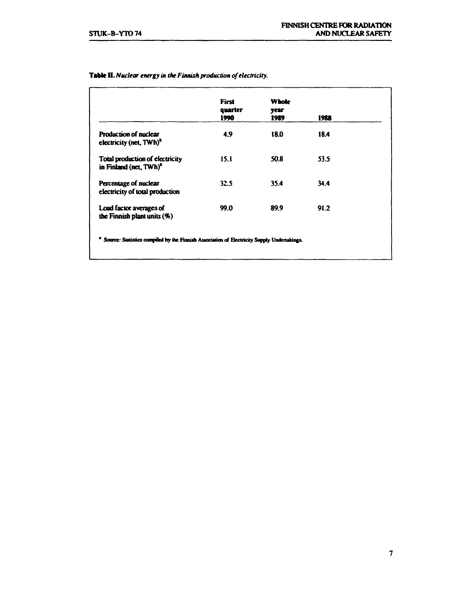|                                                                       | <b>First</b><br>quarter<br>1990 | <b>Whole</b><br>year<br>1989 | 1988 |
|-----------------------------------------------------------------------|---------------------------------|------------------------------|------|
| <b>Production of nuclear</b><br>electricity (net, TWh) <sup>a</sup>   | 4.9                             | 18.0                         | 184  |
| Total production of electricity<br>in Finland (net, TWh) <sup>a</sup> | 15.1                            | 50.8                         | 53.5 |
| Percentage of nuclear<br>electricity of total production              | 32.5                            | 35.4                         | 34.4 |
| Load factor averages of<br>the Finnish plant units $(9)$              | 99.0                            | 89.9                         | 91.2 |

#### **Table II.** *Nuclear energy in the Finnish producäon of electricity.*

**\* Source: Statistics compiled by die Finnish Association of Electricity Supply Undenakings.**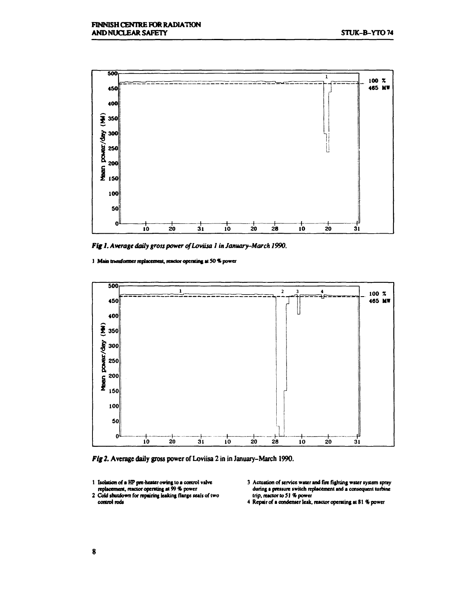

*Fig 1. Average daily gross power of Loviisa 1 in January-March 1990.* 

I Main transformer replacement, reactor operating at 50 % power



*Fig 2.* **Average daily gross power of Loviisa 2 in in January-March 1990.** 

- **1 Isolation of» HP pre-healer owing to a control valve replacement, reactor operating at 99% power**
- **2 Cold shutdown for repairing leaking flange seals of two control rods**
- **3 Actuation of service water and fire fighting water system spray during a pressure switch replacement and a consequent turbine trip, reactor to 51 % power**
- **4 Repair of a condenser leak, reactor operating at 81 % power**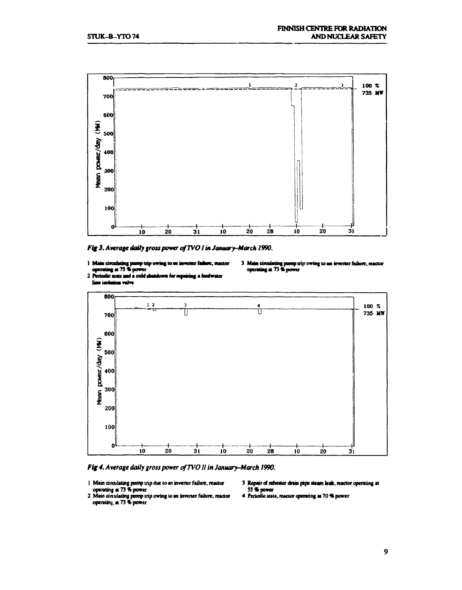

*Fig 3. Average dotty gross power ofTVO I in January-March 1990.* 

- 1 Maia circulating pump trip owing to an inverter failure, reactor **m» i Ming ai 75% power**
- **3 Mi a diaUaiaif pomp trip owing to an inverler failure, operating at 73 % power**
- 2 Periodic **aests and a cold shutdown for repairing a faedwater**



*Fig 4. Average daily gross power ofTVO 11 in January-March 1990.* 

1 Main circulating pump trip due to an inverter failure, reactor 3 Repair of reheater drain pipe steam leak, reactor operating at operating at  $\frac{36}{4}$ **operating at 73 % power 55 \* power** 

- 
- **2 Main dmilaiing pump trip owing to an invener failure, reactor 4 Periodic lew, reactor operating at 70 % power operatinj, at 73 \* power** 
	-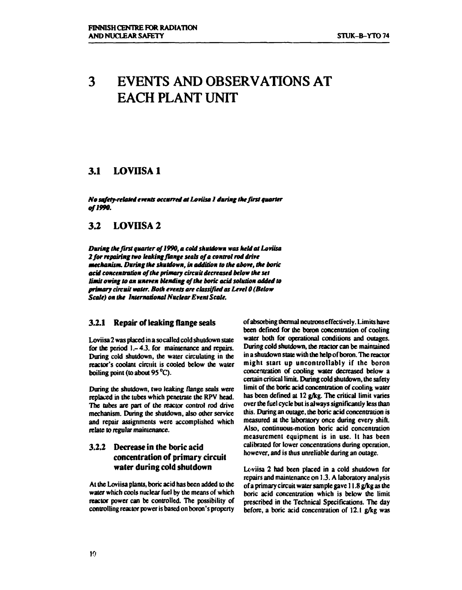# **3 EVENTS AND OBSERVATIONS AT EACH PLANT UNIT**

### **3.1 LOVIISA 1**

*No safety-related events occurred at Loviisa I during Ikefirst quarter of 1990.* 

### **3.2 LOVIISA2**

*During the first quarter of 1990, a cold shutdown was held at Loviisa 2 for repairing two leaking flange seals of a control rod drive mechanism. During the shutdown, in addition to the above, Ike boric acid concentration of the primary circuit decreased below the set limit owing to an uneven blending of the boric acid solution added to primary circuit water. Both events are classified as Level 0 (Below Scale) on the International Nuclear Event Scale.* 

### **3.2.1 Repair of leaking flange seals**

**Loviisa 2 was placed in a so called cold shutdown state for the period 1.- 4.3. for maintenance and repairs. During cold shutdown, the water circulating in the reactor's coolant circuit is cooled below the water boiling point (to about 95 °C).** 

**During the shutdown, two leaking flange seals were replaced in the tubes which penetrate the RPV head. The tubes are part of the reactor control rod drive mechanism. During the shutdown, also other service and repair assignments were accomplished which relate to regular maintenance.** 

### **3.2.2 Decrease in the boric acid concentration of primary circuit water during cold shutdown**

**At the Loviisa plants, boric acid has been added to the water which cools nuclear fuel by the means of which reactor power can be controlled. The possibility of controlling reactor power is based on boron's property** 

**of absorbing thermal neutrons effectively. Limits have been defined for the boron concentration of cooling water both for operational conditions and outages. During cold shutdown, the reactor can be maintained in a shutdown state with the help of boron. The reactor might start up uncontrollably if the boron concentration of cooling water decreased below a certain critical limit. During cold shutdown, the safety limit of the boric acid concentration of cooling water has been defined at 12 g/kg. The critical limit varies over the fuel cycle but is always significantly less than this. During an outage, the boric acid concentration is measured at the laboratory once during every shift. Also, continuous-motion boric acid concentration measurement equipment is in use. It has been calibrated for lower concentrations during operation, however, and is thus unreliable during an outage.** 

**Loviisa 2 had been placed in a cold shutdown for repairs and maintenance on 1.3. A laboratory analysis of a primary circuit water sample gave 11.8 g/kg as the boric acid concentration which is below the limit prescribed in the Technical Specifications. The day before, a boric acid concentration of 12.1 g/kg was**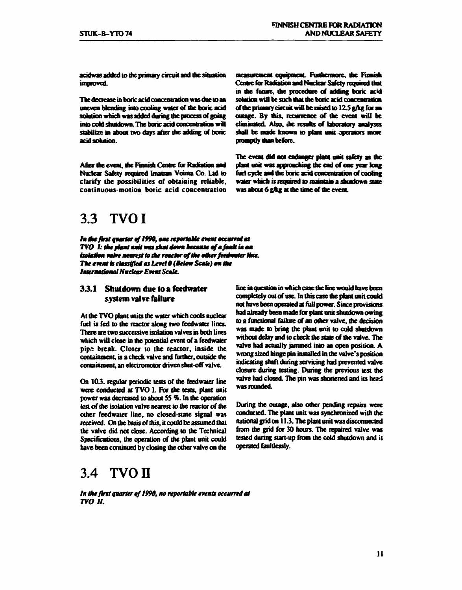**acidwas added to the primary circuit and the situation improved.** 

**The decrease in boric acid concentration was due to an uneven blending into cooling water of the boric acid solution which was added during die process of going into 00M shutdown. The boric acid concentration will stabilize in about two days after the adding of boric**  acid solution.

**After the event, the Finnish Cense for Radiation and Nuclear Safety required Imatran Voima Co. Lid to clarify the possibilities of obtaining reliable, continuous-motion boric acid concentration** 

# **3.3 TVOI**

**/a** *Ike first quarter of 1990, erne reportable* **event** *accural et TVO 1: the plant unit was shut down because of a fault in an* isolation vaive mearest to the reactor of the other feedwater line. **The event is classified as Level 0 (Below Scale) on the** *Imtermatiamal Nuclear Eveat Scale.* 

### **33. 1 Shutdown due to a feedwater system valve failure**

**At die TVO plant units die water which cook nuclear fuel is fed to die reactor along two feedwaier lines. There are two successive isolation valves in both lines which will close in die potential event of a feedwaier pip; break. Closer to the reactor, inside the containment, is a check valve and further, outside die containment, an electromotor driven shut-off valve.** 

**On 103. regular periodic tests of die feedwaier line were conducted at TVO I. For the tests, plant unit power was decreased to about 55 %. In die operation lest of die isolation valve nearest to die reactor of die other feedwaier line, no closed-sute signal was**  received. On the basis of this, it could be assumed that **die valve did not close. According to die Technical Specifications, die operation of die plant unit could have been continued by closing die other valve on die** 

# **3.4 TVO II**

*In the first quarter qf 1990, no reportable events occurred at TVO 11.* 

**Furthermore, the Finnish Ceaure for Radiation and Nuclear Safety required that in dw future, die procedure of adding boric acid solution wiB be such diat die boric acid concentration**  of the primary circuit will be raised to 12.5 g/kg for an outage. By this, recurrence of the event will be **eliminated. Also, ihe resuhs of laboratory analyses shall be made known to plant unit operators more promptly dun before.** 

**The event did not endanger plant unit safety as die**  plant unit was approaching the end of one year long **fuel cycle and die boric acid concentration of cooling water which is required 10 maintain a shutdown state**  was about 6 g/kg at the time of the event.

**line in question in which case die line wouid have been completely out of use. In diis case die plant unit could not have been operated at full power. Since provisions had already been mate for plant unit shutdown owing to a functional failure of an odier valve, die decision was made to bring die plant unit to cold shutdown widwut delay and to check die state of die valve. The valve had actually jammed into an open position. A wrong sized hinge pin installed in die valve's position indicating shaft during servicing had prevented valve closure during testing. During die previous test die**  valve had closed. The pin was shortened and its head **was rounded.** 

**During die outage, also odier pending repairs were conducted. The plant unit was synchronized widi die national grid on 11.3. The plant unit was disconnected from die grid for 30 hours. The repaired valve was tested during start-up from die cold shutdown and it operated faultlessly.**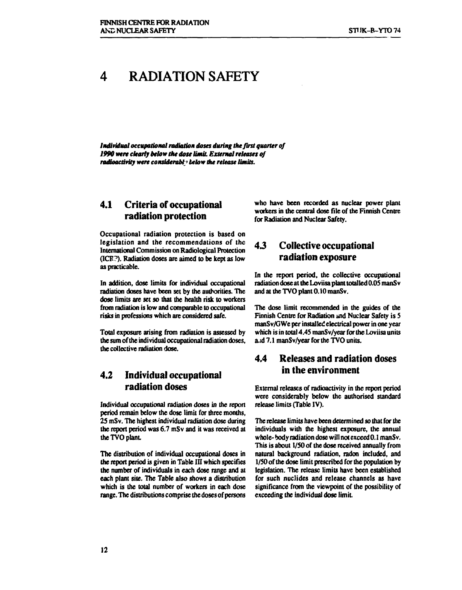#### **RADIATION SAFETY**  4

Individual occupational radiation doses during the first quarter of *1990 were clearly below the dose limit. External releases of radioactivity were considerably below the release limits.* 

### **4.1 Criteria of occupational radiation protection**

**Occupational radiation protection is based on legislation and the recommendations of the International Commission on Radiological Protection (ICE?). Radiation doses are aimed to be kept as low as practicable.** 

**In addition, dose limits for individual occupational radiation doses have been set by the authorities. The dose limits are set so that the health risk to workers from radiation is low and comparable to occupational risks in professions which are considered safe.** 

**Total exposure arising from radiation is assessed by the sum of the individual occupational radiation doses, the collective radiation dose.** 

### **4.2 Individual occupational radiation doses**

**Individual occupational radiation doses in the report period remain below the dose limit for three months, 25 mSv. The highest individual radiation dose during the report period was 6.7 mSv and it was received at the TVO plant.** 

**The distribution of individual occupational doses in the report period is given in Table III which specifies the number of individuals in each dose range and at each plant site. The Table also shows a distribution which is the total number of workers in each dose range. The distributions comprise the doses of persons**  **who have been recorded as nuclear power plant workers in the central dose file of the Finnish Centre for Radiation and Nuclear Safety.** 

### **43 Collective occupational radiation exposure**

**In the report period, the collective occupational radiation dose at the Loviisa plant totalled 0.05 manS v and at the TVO plant 0.10 manSv.** 

**The dose limit recommended in the guides of the Finnish Centre for Radiation and Nuclear Safety is 5 manSv/GWe per installed electrical power in one year which is in total 4.45 manSv/year for the Loviisa units a.id 7.1 manSv/year for the TVO units.** 

## **4.4 Releases and radiation doses in the environment**

**External releases of radioactivity in the report period were considerably below the authorised standard release limits (Table IV).** 

**The release limits have been determined so that for the individuals with the highest exposure, the annual whole- body radiation dose will not exceed 0.1 manS v. This is about 1/50 of the dose received annually from natural background radiation, radon included, and 1/50 of the dose limit prescribed for the population by legislation. The release limits have been established for such nuclides and release channels as have significance from the viewpoint of the possibility of exceeding the individual dose limit.**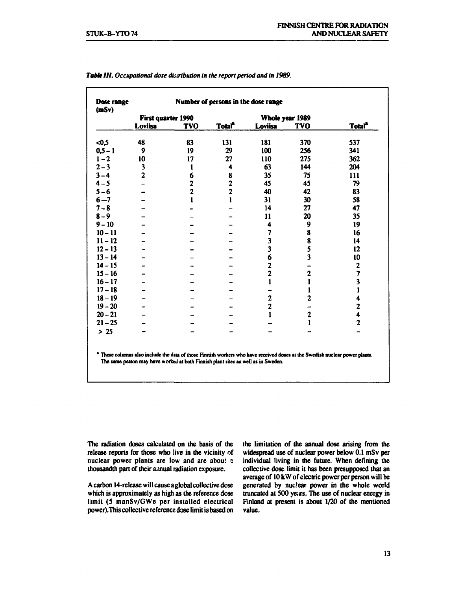| Dose range<br>(mSv) | Number of persons in the dose range |                |                           |                         |                         |                           |
|---------------------|-------------------------------------|----------------|---------------------------|-------------------------|-------------------------|---------------------------|
|                     | First quarter 1990                  |                |                           |                         | Whole year 1989         |                           |
|                     | Loviisa                             | <b>TVO</b>     | <b>Total</b> <sup>a</sup> | Loviisa                 | <b>TVO</b>              | <b>Total</b> <sup>*</sup> |
| $-0.5$              | 48                                  | 83             | 131                       | 181                     | 370                     | 537                       |
| $0,5 - 1$           | 9                                   | 19             | 29                        | 100                     | 256                     | 341                       |
| $1 - 2$             | 10                                  | 17             | 27                        | 110                     | 275                     | 362                       |
| $2 - 3$             | 3                                   | 1              | 4                         | 63                      | 144                     | 204                       |
| $3 - 4$             | $\overline{2}$                      | 6              | 8                         | 35                      | 75                      | 111                       |
| $4 - 5$             |                                     | 2              | $\overline{\mathbf{c}}$   | 45                      | 45                      | 79                        |
| $5 - 6$             |                                     | $\overline{2}$ | $\overline{2}$            | 40                      | 42                      | 83                        |
| $6 - 7$             |                                     | 1              | 1                         | 31                      | 30                      | 58                        |
| $7 - 8$             |                                     |                |                           | 14                      | 27                      | 47                        |
| $8 - 9$             |                                     |                |                           | 11                      | 20                      | 35                        |
| $9 - 10$            |                                     |                |                           | 4                       | 9                       | 19                        |
| $10 - 11$           |                                     |                |                           | $\overline{\mathbf{z}}$ | 8                       | 16                        |
| $11 - 12$           |                                     |                |                           | 3                       | 8                       | 14                        |
| $12 - 13$           |                                     |                |                           | $\overline{\mathbf{3}}$ | 5                       | 12                        |
| $13 - 14$           |                                     |                |                           | 6                       | $\overline{\mathbf{3}}$ | 10                        |
| $14 - 15$           |                                     |                |                           | $\overline{\mathbf{c}}$ |                         | $\mathbf{2}$              |
| $15 - 16$           |                                     |                |                           | $\overline{2}$          | $\mathbf{2}$            | 7                         |
| $16 - 17$           |                                     |                |                           | $\mathbf{1}$            | $\mathbf{1}$            | $\overline{\mathbf{3}}$   |
| $17 - 18$           |                                     |                |                           |                         | $\mathbf{1}$            | 1                         |
| $18 - 19$           |                                     |                |                           | $\mathbf{2}$            | $\overline{c}$          | 4                         |
| $19 - 20$           |                                     |                |                           | $\overline{c}$          |                         | $\overline{\mathbf{c}}$   |
| $20 - 21$           |                                     |                |                           | 1                       | $\mathbf{2}$            | 4                         |
| $21 - 25$           |                                     |                |                           |                         | $\mathbf{1}$            | $\overline{c}$            |
| $> 25$              |                                     |                |                           |                         |                         |                           |

#### *Table HI. Occupational dose distribution in the report period and in 1989.*

**These columns also include the data of those Finnish workers who have received doses at the Swedish nuclear power plants. The sane person may have worked at both Finnish plant sites as well as in Sweden.** 

**The radiation doses calculated on the basis of the release reports for those who live in the vicinity of nuclear power plants are low and are about ? thousandth part of their annual radiation exposure.** 

**A carbon 14-release will cause a global collective dose which is approximately as high as the reference dose limit (5 manSv/GWe per installed electrical power).This collective reference dose limit is based on**  **the limitation of the annual dose arising from the widespread use of nuclear power below 0.1 mSv per individual living in the future. When defining the collective dose limit it has been presupposed that an average of 10 kW of electric power per person will be generated by nuclear power in the whole world truncated at 500 years. The use of nuclear energy in Finland at present is about 1/20 of the mentioned value.**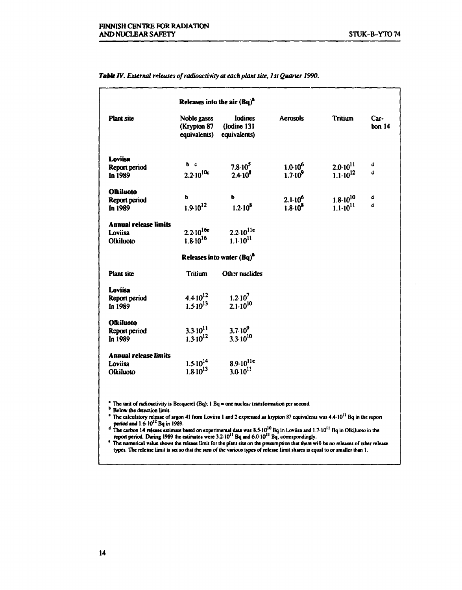|  | Table IV. External releases of radioactivity at each plant site, 1st Quarter 1990. |  |  |
|--|------------------------------------------------------------------------------------|--|--|
|--|------------------------------------------------------------------------------------|--|--|

| Noble gases | <b>Iodines</b><br>(Iodine 131<br>equivalents)                                                                                                                                                                                                                                  | <b>Aerosols</b>                                                                                                                                                                                                            | <b>Tritium</b>                             | Car-<br>bon <sub>14</sub> |
|-------------|--------------------------------------------------------------------------------------------------------------------------------------------------------------------------------------------------------------------------------------------------------------------------------|----------------------------------------------------------------------------------------------------------------------------------------------------------------------------------------------------------------------------|--------------------------------------------|---------------------------|
|             | $7.8 \cdot 10^5$                                                                                                                                                                                                                                                               | $1.010^6$                                                                                                                                                                                                                  | $2.0 \cdot 10^{11}$                        | d<br>d                    |
|             |                                                                                                                                                                                                                                                                                |                                                                                                                                                                                                                            |                                            |                           |
|             | ь<br>$1.2 \cdot 10^8$                                                                                                                                                                                                                                                          | $2.1 \cdot 10^{6}$<br>$1.8 \cdot 10^8$                                                                                                                                                                                     | $1.8 \cdot 10^{10}$<br>$1.1 \cdot 10^{11}$ | d<br>d                    |
|             |                                                                                                                                                                                                                                                                                |                                                                                                                                                                                                                            |                                            |                           |
|             |                                                                                                                                                                                                                                                                                |                                                                                                                                                                                                                            |                                            |                           |
|             |                                                                                                                                                                                                                                                                                |                                                                                                                                                                                                                            |                                            |                           |
|             |                                                                                                                                                                                                                                                                                |                                                                                                                                                                                                                            |                                            |                           |
|             | Other nuclides                                                                                                                                                                                                                                                                 |                                                                                                                                                                                                                            |                                            |                           |
|             |                                                                                                                                                                                                                                                                                |                                                                                                                                                                                                                            |                                            |                           |
|             |                                                                                                                                                                                                                                                                                |                                                                                                                                                                                                                            |                                            |                           |
|             |                                                                                                                                                                                                                                                                                |                                                                                                                                                                                                                            |                                            |                           |
|             |                                                                                                                                                                                                                                                                                |                                                                                                                                                                                                                            |                                            |                           |
|             | $3.7·10^9$                                                                                                                                                                                                                                                                     |                                                                                                                                                                                                                            |                                            |                           |
|             |                                                                                                                                                                                                                                                                                |                                                                                                                                                                                                                            |                                            |                           |
|             |                                                                                                                                                                                                                                                                                |                                                                                                                                                                                                                            |                                            |                           |
|             |                                                                                                                                                                                                                                                                                |                                                                                                                                                                                                                            |                                            |                           |
|             |                                                                                                                                                                                                                                                                                |                                                                                                                                                                                                                            |                                            |                           |
|             | (Krypton 87<br>$b$ $c$<br>$2.2 \cdot 10^{10c}$<br>ь<br>$1.9 \cdot 10^{12}$<br>$2.2 \cdot 10^{16e}$<br>$1.8 \cdot 10^{16}$<br>Tritium<br>$4.4 \cdot 10^{12}$<br>$1.5 \cdot 10^{13}$<br>$3.3 \cdot 10^{11}$<br>$1.3 \cdot 10^{12}$<br>$1.5 \cdot 10^{14}$<br>$1.8 \cdot 10^{13}$ | equivalents)<br>$2.4 \cdot 10^8$<br>$2.2 \cdot 10^{11e}$<br>$1.1 \cdot 10^{11}$<br>Releases into water $(Bq)^a$<br>$1.2 \cdot 10^7$<br>$2.1 \cdot 10^{10}$<br>$3.3 \cdot 10^{10}$<br>$8.9 \cdot 10^{11e}$<br>3.0 $10^{11}$ | $1.7 \cdot 10^{9}$                         | $1.1 \cdot 10^{12}$       |

**' The unit of radioactivity is Becquerel (Bq); 1 Bq = one nuclea; transformation per second.** 

**k Below the detection limit.** 

<sup>c</sup> The calculatory release of argon 41 from Loviisa 1 and 2 expressed as krypton 87 equivalents was  $4.4 \cdot 10^{11}$  Bq in the report period and  $1.6 \cdot 10^{12}$  Bq in 1989.<br><sup>d</sup> The carbon 14 release estimate based on experi

**\* The numerical value shows the release limit for the plant site on the presumption dial there will be no releases of other release types. The release limit is set so that the sum of ihe various types of release limit shares is equal to or smaller than 1.**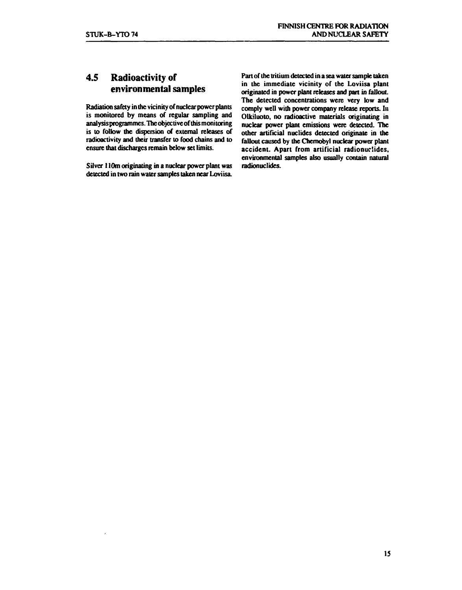# **4.5 Radioactivity of environmental samples**

**Radiation safety in the vicinity of nuclear power plants is monitored by means of regular sampling and analysisprogrammes. The objective of this monitoring is to follow the dispersion of external releases of radioactivity and their transfer to food chains and to ensure that discharges remain below set limits.** 

**Silver 110m originating in a nuclear power plant was detected in two rain water samples taken near Loviisa.** 

**Part of the tritium detected in a sea water sample taken in the immediate vicinity of the Loviisa plant originated in power plant releases and part in fallout. The detected concentrations were very low and comply well with power company release reports. In Olkiluoto, no radioactive materials originating in nuclear power plant emissions were detected. The other artificial nuclides detected originate in the fallout caused by the Chernobyl nuclear power plant accident. Apart from artificial radionuclides, environmental samples also usually contain natural radionuclides.**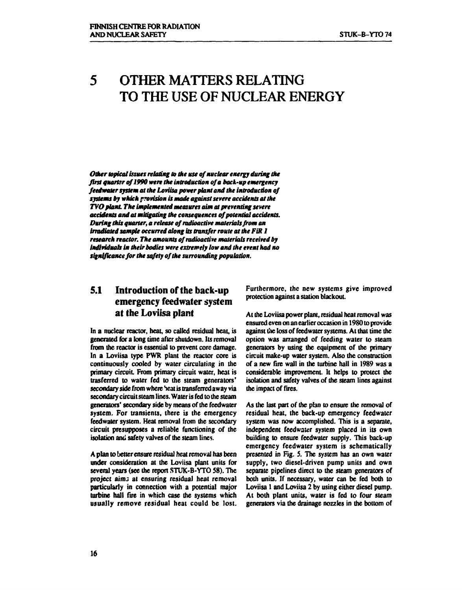# **5 OTHER MATTERS RELATING TO THE USE OF NUCLEAR ENERGY**

*Other topical issues relating to Ike use of nuclear energy during the first quarter of 1990 were the introduction of a back-up emergency feedwater system at the Loviisa power plant and the introduction of systems by which provision is made against severe accidents at the TVO plant The implemented measures aim at preventing severe accidents and at mitigating the consequences of potential accidents. During this quarter, a release of radioactive materials from an irradiated sample occurred along its transfer route at the FiR 1 research reactor. The amounts of radioactive materials received by individuals in their bodies were extremely low and the event had no significance for the safety of the surrounding population.* 

## **5.1 Introduction of the back-up emergency feedwater system at the Loviisa plant**

**In a nuclear reactor, heat, so called residual heat, is generated for a long time after shutdown. Its removal from the reactor is essential to prevent core damage. In a Loviisa type PWR plant the reactor core is continuously cooled by water circulating in the primary circuit From primary circuit water, heat is trasferred to water fed to the steam generators' secondary side from where heat is transferred away via secondary circuit steam lines. Water is fed to the steam generators' secondary side by means of the feedwater system. For transients, there is the emergency feedwater system. Heat removal from the secondary circuit presupposes a reliable functioning of the isolation and safety valves of the steam lines.** 

**A plan to better ensure residual heat removal has been under consideration at the Loviisa plant units for several years (see the report STUK-B-YTO 58). The project aims at ensuring residual heat removal particularly in connection with a potential major turbine hall Tire in which case the systems which usually remove residual heat could be lost.** 

**Furthermore, the new systems give improved protection against a station blackout.** 

**At the Loviisa power plant, residual heat removal was ensured even on an earlier occasion in 1980 to provide against the loss of feedwater systems. At that time the option was arranged of feeding water to steam generators by using the equipment of the primary circuit make-up water system. Also the construction of a new fire wall in the turbine hall in 1989 was a considerable improvement. It helps to protect the isolation and safety valves of the steam lines against the impact of fires.** 

**As the last part of the plän to ensure the removal of residual heat, the back-up emergency feedwater system was now accomplished. This is a separate, independent feedwater system placed in its own building to ensure feedwater supply. This back-up emergency feedwater system is schematically presented in Fig. 5. The system has an own water supply, two diesel-driven pump units and own separate pipelines direct to the steam generators of both units. If necessary, water can be fed both to Loviisa 1 and Loviisa 2 by using either diesel pump. At both plant units, water is fed to four steam generators via the drainage nozzles in the bottom of**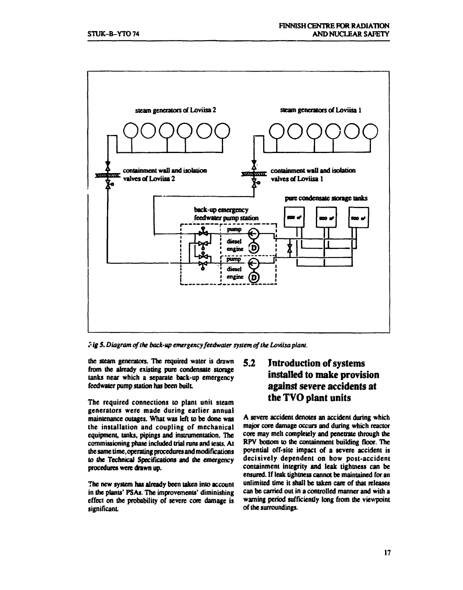

*tig 5. Diagram of the back-up emergency feedwater system of the Loviisa plant.* 

**the steam generators. The required water is drawn from the already existing pure condensate storage tanks near which a separate back-up emergency**  feedwater pump station has been built.

**The required connections to plant unit steam generators were made during earlier annual maintenance outages. What was left to be done was the installation and coupling of mechanical equipment, tanks, pipings and instrumentation. The commissioning phase included trial runs and tests. At the same time, operating procedures and modifications to the Technical Specifications and the emergency procedures were drawn up.** 

**The new system has already been taken into account in the plants' PSAs. The improvements' diminishing effect on the probability of severe core damage is significant** 

# **5.2 Introduction of systems installed to make provision against severe accidents at the TVO plant units**

**A severe accident denotes an accident during which major core damage occurs and during which reactor core may melt completely and penetrate through the RPV bottom to the containment building floor. The potential off-site impact of a severe accident is decisively dependent on how post-accident containment integrity and leak tightness can be ensured. If leak tightness cannot be maintained for an unlimited time it shall be taken care of that releases can be carried out in a controlled manner and with a warning period sufficiently long from the viewpoint of the surroundings.**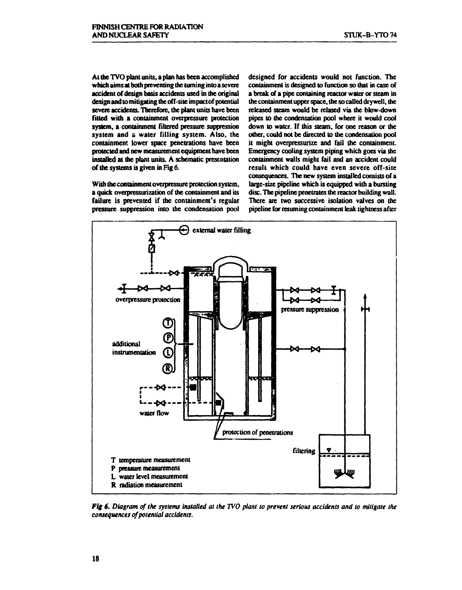**At the TVO plant units, a plan has been accomplished which aims at both preventing the turning into a severe accident of design basis accidents used in the original design and to mitigating the off-site impact of potential severe accidents. Therefore, the plant units have been fitted with a containment overpressure protection system, a containment filtered pressure suppression system and a water filling system. Also, the containment lower space penetrations have been protected and new measurement equipment have been installed at the plant units. A schematic presentation of the systems is given in Fig 6.** 

**With the containment overpressure protection system, a quick overpressurization of the containment and its failure is prevented if the containment's regular pressure suppression into the condensation pool**  **designed for accidents would not function. The containment is designed to function so that in case of a break of a pipe containing reactor water or steam in the containment upper space, the so called dry well, the released steam would be relased via the blow-down pipes to the condensation pool where it would cool down to water. If this steam, for one reason or the other, could not be directed to the condensation pool it might overpressurize and fail the containment. Emergency cooling system piping which goes via the containment walls might fail and an accident could result which could have even severe off-site consequences. The new system installed consists of a large-size pipeline which is equipped with a bursting disc. The pipeline penetrates the reactor building wall. There are two successive isolation valves on the pipeline for resuming containment teak tightness after** 



*Fig 6. Diagram cf the systems installed at the TVO plant to prevent serious accidents and to mitigate the consequences of potential accidents.*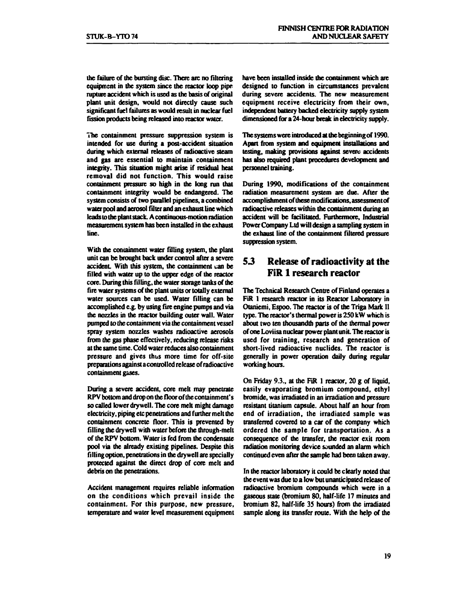**the failure of the bursting disc. There arc no filtering equipment in the system since the reactor loop pipe rupture accident which is used as the basis of original plant unit design, would not directly cause such significant fuel failures as would result in nuclear fuel fission products being released into reactor water.** 

**The containment pressure suppression system is intended for use during a post-accident situation during which external releases of radioactive steam and gas are essential to maintain containment integrity. This situation might arise if residual heat removal did not function. This would raise containment pressure so high in die long run that containment integrity would be endangered. The system consists of two parallel pipelines, a combined water pool and aerosol filter and an exhaust line which leads to the plant stack. A continuous-motion radiation measurement system has been installed in the exhaust line.** 

**With the containment water filling system, the plant unit can be brought back under control after a severe**  accident. With this system, the containment can be **filled with water up to the upper edge of the reactor core. During this filling, the water storage tanks of the**  fire water systems of the plant units or totally external **water sources can be used. Water filling can be accomplished e.g. by using fire engine pumps and via the nozzles in the reactor building outer wall. Water pumped to the containment via the containment vessel spray system nozzles washes radioactive aerosols from the gas phase effectively, reducing release risks at the same time. Cold water reduces also containment pressure and gives thus more time for off-site preparations against a controlled release of radioactive containment g&ses.** 

**During a severe accident, core melt may penetrate RPV bottom and drop on the floor of die containment's so called lower dry well. The core melt might damage electricity, piping etc penetrations and further melt die containment concrete floor. This is prevented by filling die dry well with water before die through-melt of the RPV bottom. Water is fed from the condensate pool via die already existing pipelines. Despite this filling option, penetrations in die dry well are specially protected against die direct drop of core melt and debris on die penetrations.** 

**Accident management requires reliable information on the conditions which prevail inside the containment. For this purpose, new pressure, temperature and water level measurement equipment**  **have been installed inside die containment which are designed to function in circumstances prevalent during severe accidents. The new measurement equipment receive electricity from their own, independent battery backed electricity supply system dimensioned for a 24-hour break in electricity supply.** 

**The systems were introduced at die beginning of 1990. Apart from system and equipment installations and testing, making provisions against severe accidents has also required plant procedures development and personnel training.** 

**During 1990, modifications of die containment radiation measurement system are due. After die accomplishment of dwse modifications, assessment of radioactive releases widu'n the containment during an accident will be facilitated. Furthermore, Industrial Power Company Ltd will design a sampling system in die exhaust line of die containment filtered pressure suppression system.** 

### *53* **Release of radioactivity at the FiR 1 research reactor**

**The Technical Research Centre of Finland operates a FiR 1 research reactor in its Reactor Laboratory in Otaniemi, Espoo. The reactor is of die Triga Mark II type. The reactor's thermal power is 250 kW which is about two ten thousandth parts of die thermal power of one Loviisa nuclear power plant unit. The reactor is used for training, research and generation of short-lived radioactive nuclides. The reactor is generally in power operation daily during regular working hours.** 

**On Friday 9.3., at the FiR 1 reactor, 20 g of liquid, easily evaporating bromium compound, ethyl bromide, was irradiated in an irradiation and pressure resistant titanium capsule. About half an hour from end of irradiation, the irradiated sample was transferred covered to a car of die company which ordered the sample for transportation. As a consequence of die transfer, the reactor exit room radiation monitoring device sounded an alarm which continued even after die sample had been taken away.** 

**In die reactor laboratory it could be clearly noted diat die event was due to a low but unanticipated release of radioactive bromium compounds which were in a**  gaseous state (bromium 80, half-life 17 minutes and **bromium 82, half-life 35 hours) from die irradiated sample along its transfer route. Widi die help of die**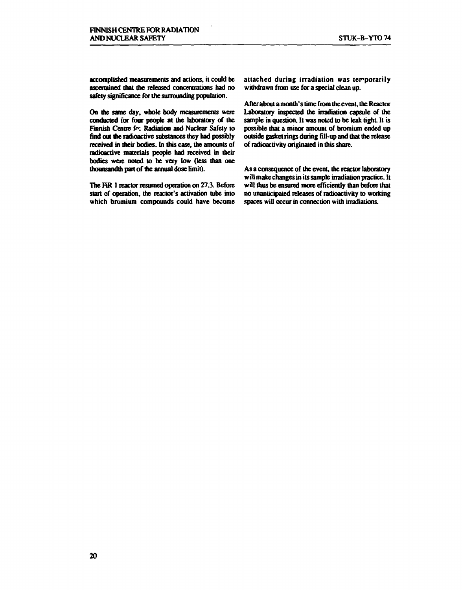**accomplished measurements and actions, it could be ascertained that the released concentrations had no safety significance for the surrounding population.** 

**On the same day, whole body measurements were conducted for four people at the laboratory of the**  Finnish Centre fo: Radiation and Nuclear Safety to **find out die radioactive substances they had possibly**  received in their bodies. In this case, the amounts of **radioactive materials people had received in their bodies were noted to be very low (less than one thounsandth part of the annual dose limit).** 

The FiR 1 reactor resumed operation on 27.3. Before **start of operation, the reactor's activation tube into which bromium compounds could have become**  **attached during irradiation was terporarily withdrawn from use for a special clean up.** 

**After about a month's time from the event, the Reactor Laboratory inspected the irradiation capsule of die sample in question. It was noted to be leak tight. It is possible diat a minor amount of bromium ended up outside gasket rings during fill-up and that the release**  of radioactivity originated in this share.

**As a consequence of die event, die reactor laboratory will make changes in its sample irradiation practice. It**  will thus be ensured more efficiently than before that **no unanticipated releases of radioactivity to working spaces will occur in connection widi irradiations.**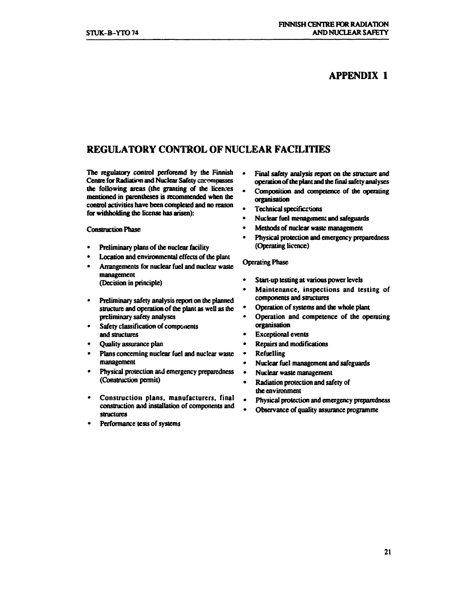### **APPENDIX 1**

## **REGULATORY CONTROL OF NUCLEAR FACILITIES**

The regulatory control perforemd by the Finnish **Centre for Radiation and Nuclear Safety encompasses the following areas (the granting of the licenses mentioned in parentheses is recommended when the control activities have been completed and no reason for withholding die license has arisen):** 

**Construction Phase** 

- **Preliminary plans of die nuclear facility**
- **Location and environmental effects of the plant**
- **Arrangements for nuclear fuel and nuclear waste management (Decision in principle)**
- **Preliminary safety analysis report on die planned structure and operation of the plant as well as the preliminary safety analyses**
- **Safety classification of components and structures**
- **Quality assurance plan**
- **Plans concerning nuclear fuel and nuclear waste management**
- **Physical protection and emergency preparedness (Construction permit)**
- **Construction plans, manufacturers, final construction and installation of components and structures**
- **Performance tests of systems**
- **Final safety analysis report on die structure and operation of the plant and the final safety analyses**
- **Composition and competence of die operating organisation**
- **Technical specificstions**
- **Nuclear fuel management and safeguards**
- **Methods of nuclear waste management**
- **Physical protection and emergency preparedness (Operating licence)**

#### **Operating Phase**

- **Start-up testing at various power levels**
- **Maintenance, inspections and testing of components and structures**
- **Operation of systems and die whole plant**
- **Operation and competence of die operating organisation**
- **Exceptional events**
- **Repairs and modifications**
- **Refuelling**
- **Nuclear fuel management and safeguards**
- **Nuclear waste management**
- **Radiation protection and safety of die environment**
- **Physical protection and emergency preparedness**
- **Observance of quality assurance programme**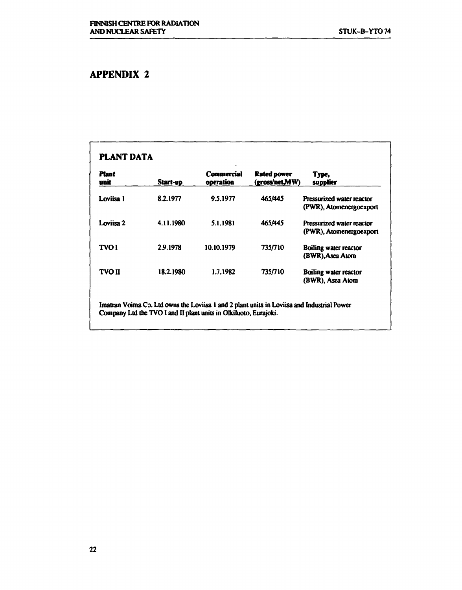# **APPENDIX 2**

| <b>Plant</b><br>unit | Start-up  | Commercial<br>operation | Rated power<br>(gross/net.MW) | Type,<br>supplier                                    |
|----------------------|-----------|-------------------------|-------------------------------|------------------------------------------------------|
| Loviisa 1            | 8.2.1977  | 9.5.1977                | 465/445                       | Pressurized water reactor<br>(PWR), Atomenergoexport |
| Loviisa 2            | 4.11.1980 | 5.1.1981                | 465/445                       | Pressurized water reactor<br>(PWR), Atomenergoexport |
| <b>TVOI</b>          | 2.9.1978  | 10.10.1979              | 735/710                       | Boiling water reactor<br>(BWR), Asea Atom            |
| <b>TVO II</b>        | 18.2.1980 | 1.7.1982                | 735/710                       | Boiling water reactor<br>(BWR), Asea Atom            |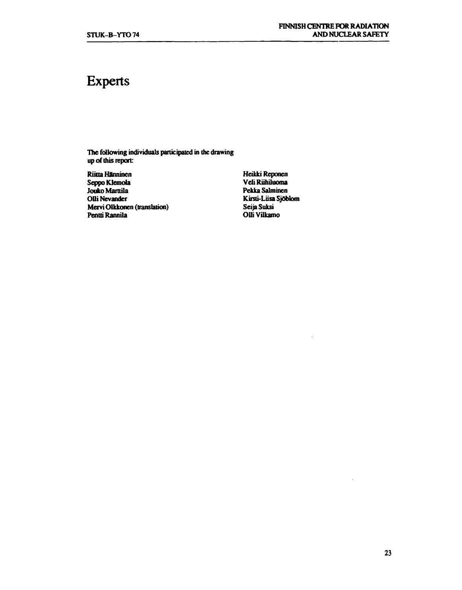# **Experts**

**The following individuals participated in the drawing**  up of this report:

**Riitta Hanninen Seppo Klemola Jouko Marttila Olli Nevander Mervi Olkkonen (translation) Pentu'Rannila** 

**Heikki Reponen Veli Riihiluoma Pekka Salminen Kirsti-Liisa Sjöblom Seija Suksi Olli Vilkamo**